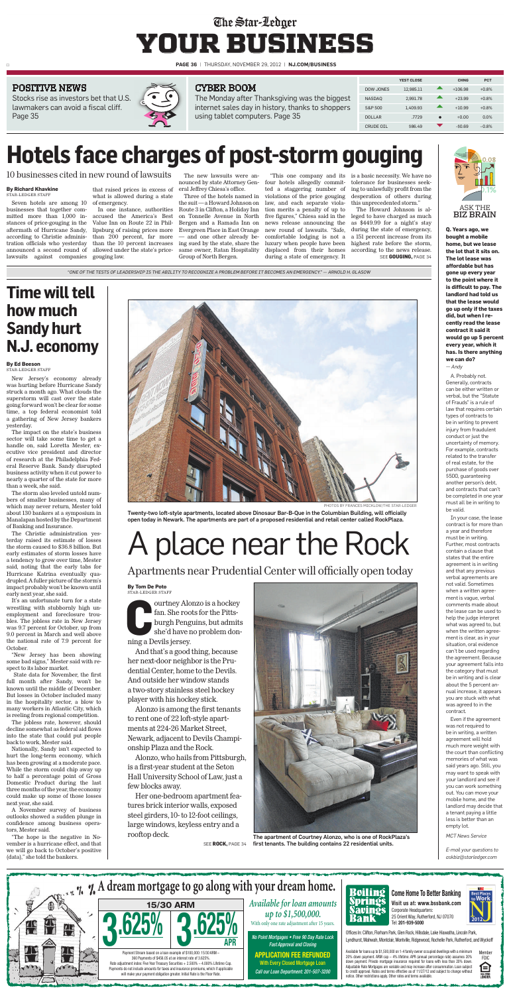□ **PAGE 36** | Thursday, November 29, 2012 | **NJ.COM/BUSINESS**

K THE BIZ BRAIN **Q. Years ago, we**

**bought a mobile home, but we lease the lot that it sits on. The lot lease was affordable but has gone up every year to the point where it is difficult to pay. The landlord had told us that the lease would go up only if the taxes did, but when I recently read the lease contract it said it would go up 5 percent every year, which it has. Is there anything we can do?** *— Andy*

A. Probably not. Generally, contracts can be either written or verbal, but the "Statute" of Frauds" is a rule of law that requires certain types of contracts to be in writing to prevent injury from fraudulent conduct or just the uncertainty of memory. For example, contracts related to the transfer of real estate, for the purchase of goods over \$500, quaranteeing another person's debt, and contracts that can't be completed in one year must all be in writing to be valid.

Stocks rise as investors bet that U.S. lawmakers can avoid a fiscal cliff. Page 35



## The Star-Ledger **your business**

In your case, the lease contract is for more than a year and therefore must be in writing. Further, most contracts contain a clause that states that the entire agreement is in writing and that any previous verbal agreements are not valid. Sometimes when a written agreement is vague, verbal comments made about the lease can be used to help the judge interpret what was agreed to, but when the written agreement is clear, as in your situation, oral evidence can't be used regarding the agreement. Because your agreement falls into the category that must be in writing and is clear about the 5 percent annual increase, it appears you are stuck with what was agreed to in the contract. Even if the agreement was not required to be in writing, a written agreement will hold much more weight with the court than conflicting memories of what was said years ago. Still, you may want to speak with your landlord and see if you can work something out. You can move your mobile home, and the landlord may decide that a tenant paying a little less is better than an empty lot.

*MCT News Service*

*E-mail your questions to askbiz@starledger.com*



|               | <b>YEST CLOSE</b> | <b>CHNG</b> | <b>PCT</b> |  |
|---------------|-------------------|-------------|------------|--|
| DOW JONES     | 12.985.11         | $+106.98$   | $+0.8%$    |  |
| <b>NASDAO</b> | 2.991.78          | $+23.99$    | $+0.8%$    |  |
| S&P 500       | 1.409.93          | $+10.99$    | $+0.8%$    |  |
| <b>DOLLAR</b> | .7729             | $+0.00$     | 0.0%       |  |
| CRUDE OIL     | \$86.49           | $-50.69$    | $-0.8%$    |  |
|               |                   |             |            |  |

### poSiTivE nEwS



#### **By Richard Khavkine** STAR-LEDGER STAFF

The Monday after Thanksgiving was the biggest internet sales day in history, thanks to shoppers using tablet computers. Page 35

ourtney Alc<br>
fan. She roo<br>
burgh Peng<br>
she'd have r<br>
ning a Devils jersey. ourtney Alonzo is a hockey fan. She roots for the Pittsburgh Penguins, but admits she'd have no problem don-

Seven hotels are among 10 of emergency. businesses that together committed more than 1,000 instances of price-gouging in the aftermath of Hurricane Sandy, according to Christie administration officials who yesterday announced a second round of lawsuits against companies gouging law.

that raised prices in excess of what is allowed during a state

accused the America's Best Value Inn on Route 22 in Phillipsburg of raising prices more than 200 percent, far more than the 10 percent increases ing sued by the state, share the allowed under the state's price-

The new lawsuits were announced by state Attorney Gen-four hotels allegedly commiteral Jeffrey Chiesa's office.

In one instance, authorities Route 3 in Clifton, a Holiday Inn Three of the hotels named in the suit— a Howard Johnson on on Tonnelle Avenue in North Bergen and a Ramada Inn on Evergreen Place in East Orange and one other already besame owner, Ratan Hospitality Group of North Bergen.

ted a staggering number of violations of the price gouging law, and each separate violation merits a penalty of up to five figures," Chiesa said in the news release announcing the new round of lawsuits. "Safe, comfortable lodging is not a luxury when people have been displaced from their homes during a state of emergency. It

"This one company and its is a basic necessity. We have no tolerance for businesses seeking to unlawfully profit from the desperation of others during this unprecedented storm."

#### **By Ed Beeson** STAR-LEDGER STAFF

New Jersey's economy already was hurting before Hurricane Sandy struck a month ago. What clouds the superstorm will cast over the state going forward won't be clear for some time, a top federal economist told a gathering of New Jersey bankers yesterday.

The impact on the state's business sector will take some time to get a handle on, said Loretta Mester, executive vice president and director of research at the Philadelphia Federal Reserve Bank. Sandy disrupted business activity when it cut power to nearly a quarter of the state for more than a week, she said.

The storm also leveled untold numbers of smaller businesses, many of which may never return, Mester told about 130 bankers at a symposium in Manalapan hosted by the Department of Banking and Insurance.

The Christie administration yesterday raised its estimate of losses the storm caused to \$36.8 billion. But early estimates of storm losses have a tendency to grow over time, Mester said, noting that the early tabs for Hurricane Katrina eventually quadrupled. A fuller picture of the storm's impact probablywon't be known until early next year, she said. It's an unfortunate turn for a state wrestling with stubbornly high unemployment and foreclosure troubles. The jobless rate in New Jersey was 9.7 percent for October, up from 9.0 percent in March and well above the national rate of 7.9 percent for October. "New Jersey has been showing some bad signs," Mester said with respect to its labor market. State data for November, the first full month after Sandy, won't be known until the middle of December. But losses in October included many in the hospitality sector, a blow to many workers in Atlantic City, which is reeling from regional competition. The jobless rate, however, should decline somewhat as federal aid flows into the state that could put people back to work, Mester said. Nationally, Sandy isn't expected to hurt the long-term economy, which has been growing at a moderate pace. While the storm could chip away up to half a percentage point of Gross Domestic Product during the last three months of the year, the economy could make up some of those losses next year, she said. A November survey of business outlooks showed a sudden plunge in confidence among business operators, Mester said. "The hope is the negative in November is a hurricane effect, and that we will go back to October's positive (data)," she told the bankers.



PHOTOS BY FRANCES MICKLOW/THE STAR-LEDGER

The Howard Johnson is alleged to have charged as much as \$449.99 for a night's stay during the state of emergency, a 151 percent increase from its highest rate before the storm, according to the news release. see **GouGinG,** PaGe 34

# **Hotels face charges of post-storm gouging**

10 businesses cited in new round of lawsuits

### **Time will tell how much Sandy hurt N.J. economy**

### cybEr boom

### **By Tom De Poto** STAR-LEDGER STAFF

And that's a good thing, because her next-door neighbor is the Prudential Center, home to the Devils. And outside her window stands a two-story stainless steel hockey player with his hockey stick.

Alonzo is among the first tenants to rent one of 22 loft-style apartments at 224-26 Market Street, Newark, adjacent to Devils Championship Plaza and the Rock.

Alonzo, who hails from Pittsburgh, is a first-year student at the Seton Hall University School of Law, just a few blocks away.

Her one-bedroom apartment features brick interior walls, exposed steel girders, 10- to 12-foot ceilings, large windows, keyless entry and a rooftop deck.



Twenty-two loft-style apartments, located above Dinosaur Bar-B-Que in the Columbian Building, will officially open today in Newark. The apartments are part of a proposed residential and retail center called RockPlaza.

# A place near the Rock

Apartments near Prudential Center will officially open today

The apartment of Courtney Alonzo, who is one of RockPlaza's see **RoCk,** PaGe 34 first tenants. The building contains 22 residential units.